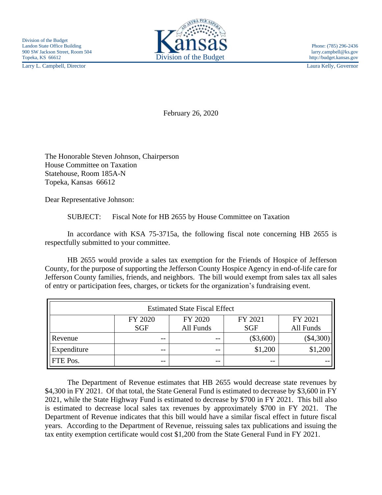Larry L. Campbell, Director Laura Kelly, Governor



February 26, 2020

The Honorable Steven Johnson, Chairperson House Committee on Taxation Statehouse, Room 185A-N Topeka, Kansas 66612

Dear Representative Johnson:

SUBJECT: Fiscal Note for HB 2655 by House Committee on Taxation

In accordance with KSA 75-3715a, the following fiscal note concerning HB 2655 is respectfully submitted to your committee.

HB 2655 would provide a sales tax exemption for the Friends of Hospice of Jefferson County, for the purpose of supporting the Jefferson County Hospice Agency in end-of-life care for Jefferson County families, friends, and neighbors. The bill would exempt from sales tax all sales of entry or participation fees, charges, or tickets for the organization's fundraising event.

| <b>Estimated State Fiscal Effect</b> |            |           |             |             |
|--------------------------------------|------------|-----------|-------------|-------------|
|                                      | FY 2020    | FY 2020   | FY 2021     | FY 2021     |
|                                      | <b>SGF</b> | All Funds | <b>SGF</b>  | All Funds   |
| Revenue                              | $- -$      | $- -$     | $(\$3,600)$ | $(\$4,300)$ |
| Expenditure                          | $- -$      | --        | \$1,200     | \$1,200     |
| <b>FTE Pos.</b>                      | $- -$      | $- -$     | $- -$       |             |

The Department of Revenue estimates that HB 2655 would decrease state revenues by \$4,300 in FY 2021. Of that total, the State General Fund is estimated to decrease by \$3,600 in FY 2021, while the State Highway Fund is estimated to decrease by \$700 in FY 2021. This bill also is estimated to decrease local sales tax revenues by approximately \$700 in FY 2021. The Department of Revenue indicates that this bill would have a similar fiscal effect in future fiscal years. According to the Department of Revenue, reissuing sales tax publications and issuing the tax entity exemption certificate would cost \$1,200 from the State General Fund in FY 2021.